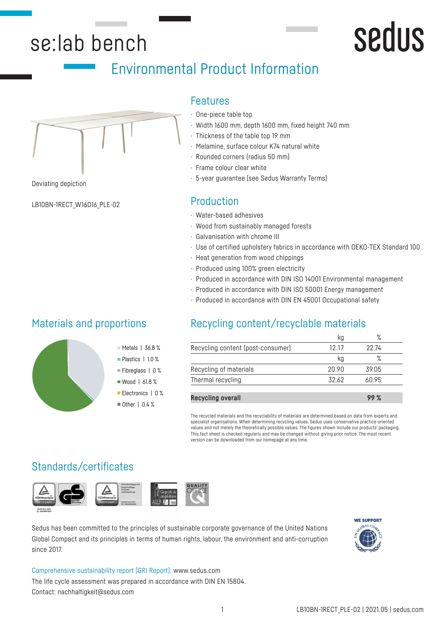# se:lab bench

# Environmental Product Information



Deviating depiction

LB10BN-1RECT\_W16D16\_PLE-02

## Features

- · One-piece table top
- · Width 1600 mm, depth 1600 mm, fixed height 740 mm
- · Thickness of the table top 19 mm
- Melamine, surface colour K74 natural white
- · Rounded corners (radius 50 mm)
- · Frame colour clear white
- · 5-year guarantee (see Sedus Warranty Terms)

## Production

- · Water-based adhesives
- · Wood from sustainably managed forests
- · Galvanisation with chrome III
- · Use of certified upholstery fabrics in accordance with OEKO-TEX Standard 100
- · Heat generation from wood chippings
- · Produced using 100% green electricity
- · Produced in accordance with DIN ISO 14001 Environmental management
- · Produced in accordance with DIN ISO 50001 Energy management
- · Produced in accordance with DIN EN 45001 Occupational safety

# Recycling content/recyclable materials

|                                   |       | $\circ$ |  |
|-----------------------------------|-------|---------|--|
| Recycling content (post-consumer) | 12 17 | 22 74   |  |
|                                   | ka    |         |  |
| Recycling of materials            | 20.90 | 39.05   |  |
| Thermal recycling                 | 32.62 | 60.95   |  |
|                                   |       |         |  |

**Recycling overall 99 %**

The recycled materials and the recyclability of materials are determined based on data from experts and specialist organisations. When determining recycling values, Sedus uses conservative practice-oriented values and not merely the theoretically possible values. The figures shown include our products' packaging. This fact sheet is checked regularly and may be changed without giving prior notice. The most recent version can be downloaded from our homepage at any time.

# Standards/certificates

Materials and proportions



Sedus has been committed to the principles of sustainable corporate governance of the United Nations Global Compact and its principles in terms of human rights, labour, the environment and anti-corruption since 2017.



**Sedus** 

Comprehensive sustainability report (GRI Report): www.sedus.com The life cycle assessment was prepared in accordance with DIN EN 15804. Contact: nachhaltigkeit@sedus.com

Metals | 36.8 % Plastics | 1.0 % Fibreglass | 0 % ■ Wood | 61.8 % Electronics | 0 % ■ Other | 0.4 %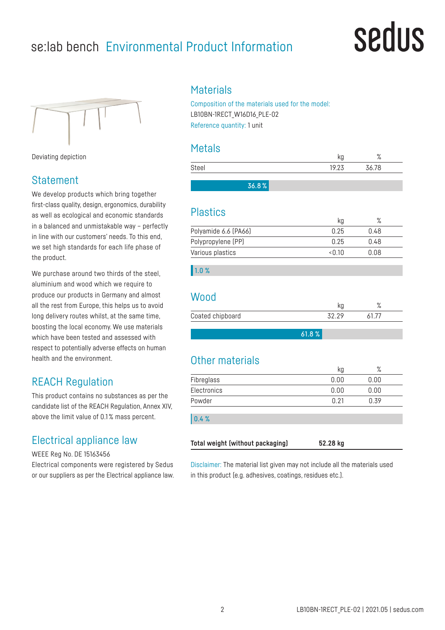# se:lab bench Environmental Product Information

# sedus



Deviating depiction

# **Statement**

We develop products which bring together first-class quality, design, ergonomics, durability as well as ecological and economic standards in a balanced and unmistakable way – perfectly in line with our customers' needs. To this end, we set high standards for each life phase of the product.

We purchase around two thirds of the steel. aluminium and wood which we require to produce our products in Germany and almost all the rest from Europe, this helps us to avoid long delivery routes whilst, at the same time, boosting the local economy. We use materials which have been tested and assessed with respect to potentially adverse effects on human health and the environment.

# REACH Regulation

This product contains no substances as per the candidate list of the REACH Regulation, Annex XIV, above the limit value of 0.1 % mass percent.

# Electrical appliance law

WEEE Reg No. DE 15163456

Electrical components were registered by Sedus or our suppliers as per the Electrical appliance law.

## **Materials**

Composition of the materials used for the model: LB10BN-1RECT\_W16D16\_PLE-02 Reference quantity: 1 unit

## Metals

|       |       |       | $\circ$<br>$\sqrt{2}$ |  |
|-------|-------|-------|-----------------------|--|
| Steel |       | 19.23 | 36.78                 |  |
|       |       |       |                       |  |
|       | 36.8% |       |                       |  |

## Plastics

|                      | ka    |      |  |
|----------------------|-------|------|--|
| Polyamide 6.6 (PA66) | በ 25  | 0.48 |  |
| Polypropylene (PP)   | በ 25  | በ 48 |  |
| Various plastics     | <በ 1በ | በ በጸ |  |

#### 1.0 %

## **Wood**

| Coated chipboard |  |
|------------------|--|
|                  |  |

61.8 %

# Other materials

|             | kg   | $\%$ |  |
|-------------|------|------|--|
| Fibreglass  | 0.00 | 0.00 |  |
| Electronics | 0.00 | 0.00 |  |
| Powder      | 0.21 | 0.39 |  |
| 0.4%        |      |      |  |
|             |      |      |  |

Disclaimer: The material list given may not include all the materials used in this product (e.g. adhesives, coatings, residues etc.).

**Total weight (without packaging) 52.28 kg**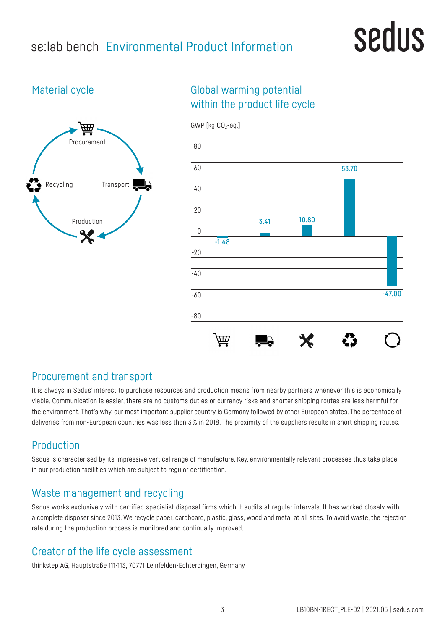# se:lab bench Environmental Product Information

# sedus

# Material cycle



# Global warming potential within the product life cycle



## Procurement and transport

It is always in Sedus' interest to purchase resources and production means from nearby partners whenever this is economically viable. Communication is easier, there are no customs duties or currency risks and shorter shipping routes are less harmful for the environment. That's why, our most important supplier country is Germany followed by other European states. The percentage of deliveries from non-European countries was less than 3% in 2018. The proximity of the suppliers results in short shipping routes.

# Production

Sedus is characterised by its impressive vertical range of manufacture. Key, environmentally relevant processes thus take place in our production facilities which are subject to regular certification.

# Waste management and recycling

Sedus works exclusively with certified specialist disposal firms which it audits at regular intervals. It has worked closely with a complete disposer since 2013. We recycle paper, cardboard, plastic, glass, wood and metal at all sites. To avoid waste, the rejection rate during the production process is monitored and continually improved.

# Creator of the life cycle assessment

thinkstep AG, Hauptstraße 111-113, 70771 Leinfelden-Echterdingen, Germany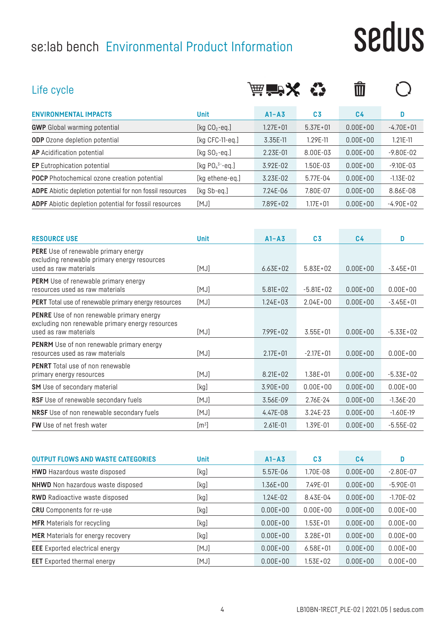# se:lab bench Environmental Product Information

# sedus

| Life cycle                                                                                                                    |                    | 茜 音入         |                | Ŵ              |                |
|-------------------------------------------------------------------------------------------------------------------------------|--------------------|--------------|----------------|----------------|----------------|
| <b>ENVIRONMENTAL IMPACTS</b>                                                                                                  | <b>Unit</b>        | $A1 - A3$    | C <sub>3</sub> | C <sub>4</sub> | D              |
| <b>GWP</b> Global warming potential                                                                                           | [kg $CO2$ -eq.]    | $1.27E + 01$ | $5.37E + 01$   | $0.00E + 00$   | $-4.70E + 01$  |
| <b>ODP</b> Ozone depletion potential                                                                                          | [ $kg$ CFC-11-eq.] | 3.35E-11     | 1.29E-11       | $0.00E + 00$   | $1.21E-11$     |
| <b>AP</b> Acidification potential                                                                                             | [kg $SO2$ -eq.]    | 2.23E-01     | 8.00E-03       | $0.00E + 00$   | $-9.80E - 02$  |
| <b>EP</b> Eutrophication potential                                                                                            | [kg $PO43 - eq.$ ] | 3.92E-02     | 1.50E-03       | $0.00E + 00$   | $-9.10E - 0.3$ |
| <b>POCP</b> Photochemical ozone creation potential                                                                            | [kg ethene-eq.]    | 3.23E-02     | 5.77E-04       | $0.00E + 00$   | $-1.13E - 02$  |
| <b>ADPE</b> Abiotic depletion potential for non fossil resources                                                              | [kg Sb-eq.]        | 7.24E-06     | 7.80E-07       | $0.00E + 00$   | 8.86E-08       |
| <b>ADPF</b> Abiotic depletion potential for fossil resources                                                                  | [MJ]               | $7.89E + 02$ | $1.17E + 01$   | $0.00E + 00$   | $-4.90E + 02$  |
| <b>RESOURCE USE</b>                                                                                                           | <b>Unit</b>        | $A1 - A3$    | C <sub>3</sub> | C <sub>4</sub> | D              |
| <b>PERE</b> Use of renewable primary energy<br>excluding renewable primary energy resources<br>used as raw materials          | [MJ]               | $6.63E + 02$ | $5.83E + 02$   | $0.00E + 00$   | $-3.45E + 01$  |
| <b>PERM</b> Use of renewable primary energy<br>resources used as raw materials                                                | [MJ]               | $5.81E + 02$ | $-5.81E+02$    | $0.00E + 00$   | $0.00E + 00$   |
| <b>PERT</b> Total use of renewable primary energy resources                                                                   | [MJ]               | $1.24E + 03$ | $2.04E + 00$   | $0.00E + 00$   | $-3.45E + 01$  |
| <b>PENRE</b> Use of non renewable primary energy<br>excluding non renewable primary energy resources<br>used as raw materials | [MJ]               | $7.99E + 02$ | $3.55E + 01$   | $0.00E + 00$   | $-5.33E+02$    |
| <b>PENRM</b> Use of non renewable primary energy<br>resources used as raw materials                                           | [MJ]               | $2.17E + 01$ | $-2.17E + 01$  | $0.00E + 00$   | $0.00E + 00$   |
| <b>PENRT</b> Total use of non renewable<br>primary energy resources                                                           | [MJ]               | $8.21E + 02$ | $1.38E + 01$   | $0.00E + 00$   | $-5.33E+02$    |

| [MJ]          | $8.21E + 02$ | 1.38E+01     | $0.00E + 00$ | $-5.33E+02$   |
|---------------|--------------|--------------|--------------|---------------|
| [kg]          | $3.90E + 00$ | $0.00E + 00$ | $0.00E + 00$ | $0.00E + 00$  |
| [MJ]          | 3.56E-09     | 2.76E-24     | $0.00E + 00$ | $-1.36E - 20$ |
| [MJ]          | $4.47E - 08$ | 3.24E-23     | $0.00E + 00$ | $-1.60E-19$   |
| $\text{Im}^3$ | $2.61E - 01$ | 1.39E-01     | $0.00E + 00$ | $-5.55E-02$   |
|               |              |              |              |               |

| <b>OUTPUT FLOWS AND WASTE CATEGORIES</b> | <b>Unit</b> | $A1 - A3$    | C <sub>3</sub> | C <sub>4</sub> | D             |
|------------------------------------------|-------------|--------------|----------------|----------------|---------------|
| <b>HWD</b> Hazardous waste disposed      | [kg]        | 5.57E-06     | 1.70E-08       | $0.00E + 00$   | $-2.80E - 07$ |
| <b>NHWD</b> Non hazardous waste disposed | [kg]        | $1.36E + 00$ | 7.49E-01       | $0.00E + 00$   | $-5.90E-01$   |
| <b>RWD</b> Radioactive waste disposed    | [kg]        | $1.24E - 02$ | 8.43E-04       | $0.00E + 00$   | $-1.70E - 02$ |
| <b>CRU</b> Components for re-use         | [kg]        | $0.00E + 00$ | $0.00E + 00$   | $0.00E + 00$   | $0.00E + 00$  |
| <b>MFR</b> Materials for recycling       | [kg]        | $0.00E + 00$ | $1.53E + 01$   | $0.00E + 00$   | $0.00E + 00$  |
| <b>MER</b> Materials for energy recovery | [kg]        | $0.00E + 00$ | $3.28E + 01$   | $0.00E + 00$   | $0.00E + 00$  |
| <b>EEE</b> Exported electrical energy    | [MJ]        | $0.00E + 00$ | $6.58E + 01$   | $0.00E + 00$   | $0.00E + 00$  |
| <b>EET</b> Exported thermal energy       | [MJ]        | $0.00E + 00$ | $1.53E + 02$   | $0.00E + 00$   | $0.00E + 00$  |